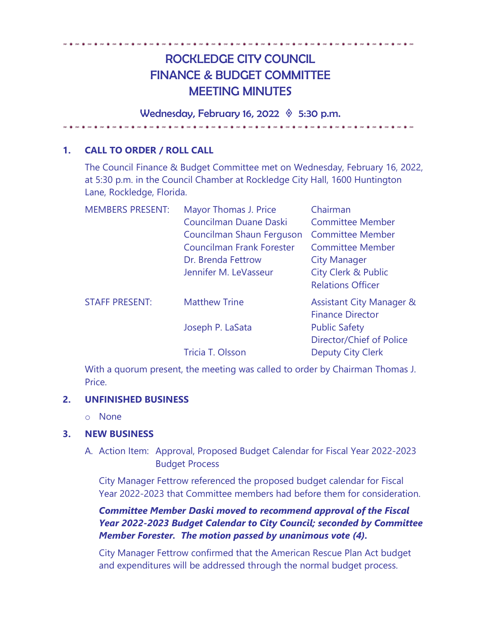# ROCKLEDGE CITY COUNCIL FINANCE & BUDGET COMMITTEE MEETING MINUTES

Wednesday, February 16, 2022  $\Diamond$  5:30 p.m.

. . **.** . **.** . **.** . **.** . **.** . **.** . .

## **1. CALL TO ORDER / ROLL CALL**

The Council Finance & Budget Committee met on Wednesday, February 16, 2022, at 5:30 p.m. in the Council Chamber at Rockledge City Hall, 1600 Huntington Lane, Rockledge, Florida.

| Mayor Thomas J. Price            | Chairman                            |
|----------------------------------|-------------------------------------|
| Councilman Duane Daski           | <b>Committee Member</b>             |
| Councilman Shaun Ferguson        | <b>Committee Member</b>             |
| <b>Councilman Frank Forester</b> | <b>Committee Member</b>             |
| Dr. Brenda Fettrow               | <b>City Manager</b>                 |
| Jennifer M. LeVasseur            | <b>City Clerk &amp; Public</b>      |
|                                  | <b>Relations Officer</b>            |
| <b>Matthew Trine</b>             | <b>Assistant City Manager &amp;</b> |
|                                  | <b>Finance Director</b>             |
| Joseph P. LaSata                 | <b>Public Safety</b>                |
|                                  | Director/Chief of Police            |
| Tricia T. Olsson                 | <b>Deputy City Clerk</b>            |
|                                  |                                     |

With a quorum present, the meeting was called to order by Chairman Thomas J. Price.

### **2. UNFINISHED BUSINESS**

o None

### **3. NEW BUSINESS**

A. Action Item: Approval, Proposed Budget Calendar for Fiscal Year 2022-2023 Budget Process

City Manager Fettrow referenced the proposed budget calendar for Fiscal Year 2022-2023 that Committee members had before them for consideration.

*Committee Member Daski moved to recommend approval of the Fiscal Year 2022-2023 Budget Calendar to City Council; seconded by Committee Member Forester. The motion passed by unanimous vote (4).* 

City Manager Fettrow confirmed that the American Rescue Plan Act budget and expenditures will be addressed through the normal budget process.